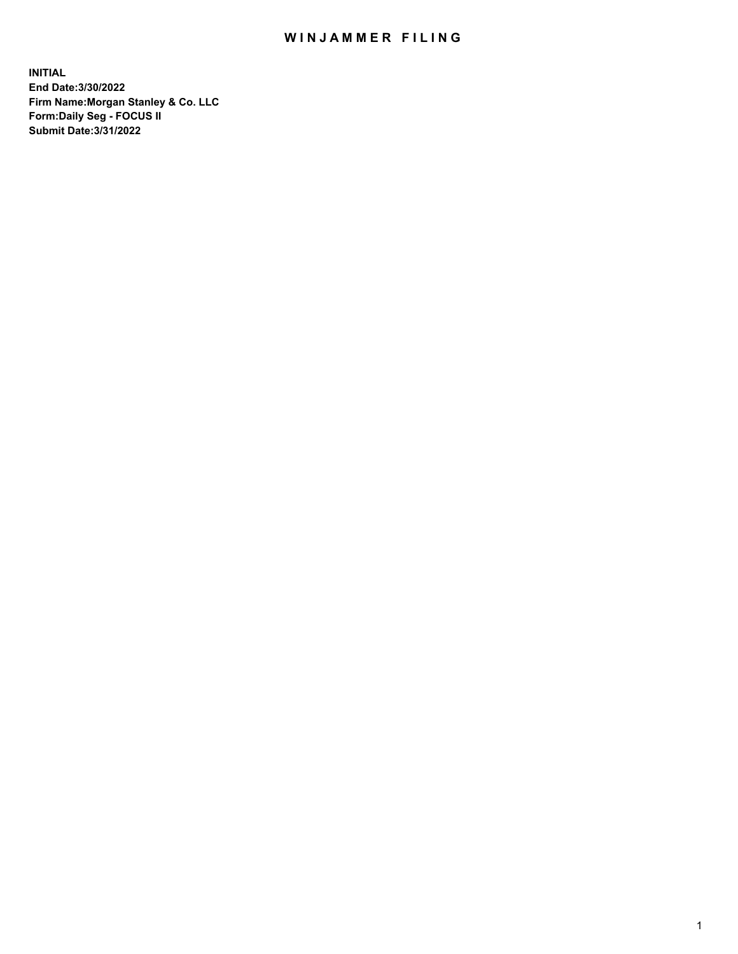## WIN JAMMER FILING

**INITIAL End Date:3/30/2022 Firm Name:Morgan Stanley & Co. LLC Form:Daily Seg - FOCUS II Submit Date:3/31/2022**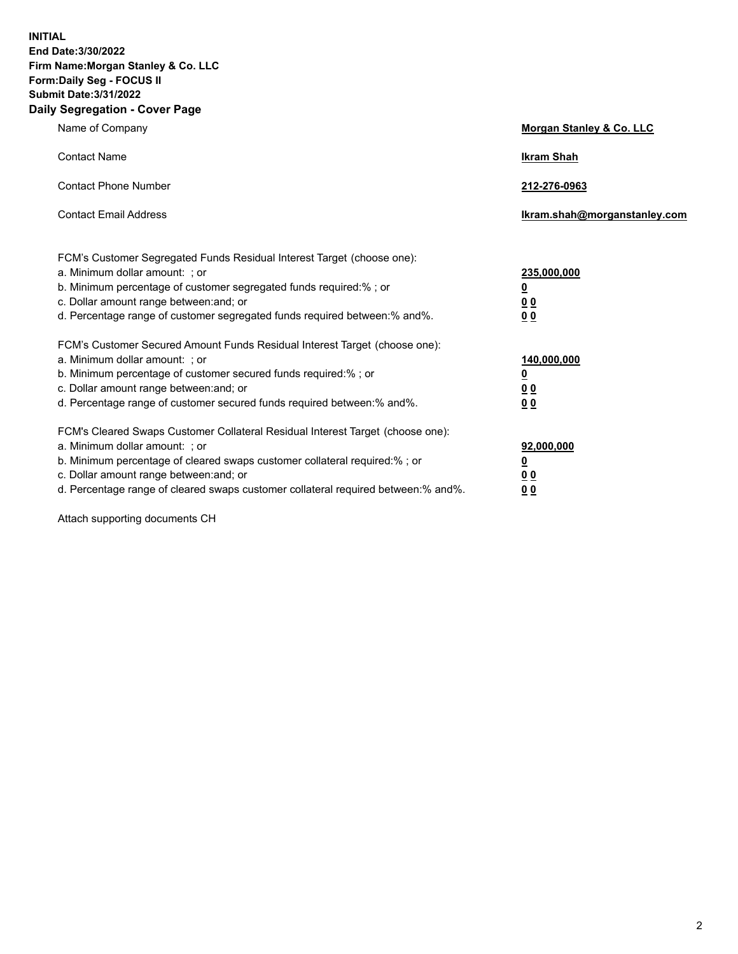**INITIAL End Date:3/30/2022 Firm Name:Morgan Stanley & Co. LLC Form:Daily Seg - FOCUS II Submit Date:3/31/2022 Daily Segregation - Cover Page**

| Name of Company                                                                                                                                                                                                                                                                                                                | Morgan Stanley & Co. LLC                               |
|--------------------------------------------------------------------------------------------------------------------------------------------------------------------------------------------------------------------------------------------------------------------------------------------------------------------------------|--------------------------------------------------------|
| <b>Contact Name</b>                                                                                                                                                                                                                                                                                                            | <b>Ikram Shah</b>                                      |
| <b>Contact Phone Number</b>                                                                                                                                                                                                                                                                                                    | 212-276-0963                                           |
| <b>Contact Email Address</b>                                                                                                                                                                                                                                                                                                   | Ikram.shah@morganstanley.com                           |
| FCM's Customer Segregated Funds Residual Interest Target (choose one):<br>a. Minimum dollar amount: ; or<br>b. Minimum percentage of customer segregated funds required:% ; or<br>c. Dollar amount range between: and; or<br>d. Percentage range of customer segregated funds required between:% and%.                         | 235,000,000<br><u>0</u><br>0 <sup>0</sup><br><u>00</u> |
| FCM's Customer Secured Amount Funds Residual Interest Target (choose one):<br>a. Minimum dollar amount: ; or<br>b. Minimum percentage of customer secured funds required:% ; or<br>c. Dollar amount range between: and; or<br>d. Percentage range of customer secured funds required between:% and%.                           | 140,000,000<br><u>0</u><br><u>00</u><br>00             |
| FCM's Cleared Swaps Customer Collateral Residual Interest Target (choose one):<br>a. Minimum dollar amount: ; or<br>b. Minimum percentage of cleared swaps customer collateral required:% ; or<br>c. Dollar amount range between: and; or<br>d. Percentage range of cleared swaps customer collateral required between:% and%. | 92,000,000<br><u>0</u><br><u>00</u><br>00              |

Attach supporting documents CH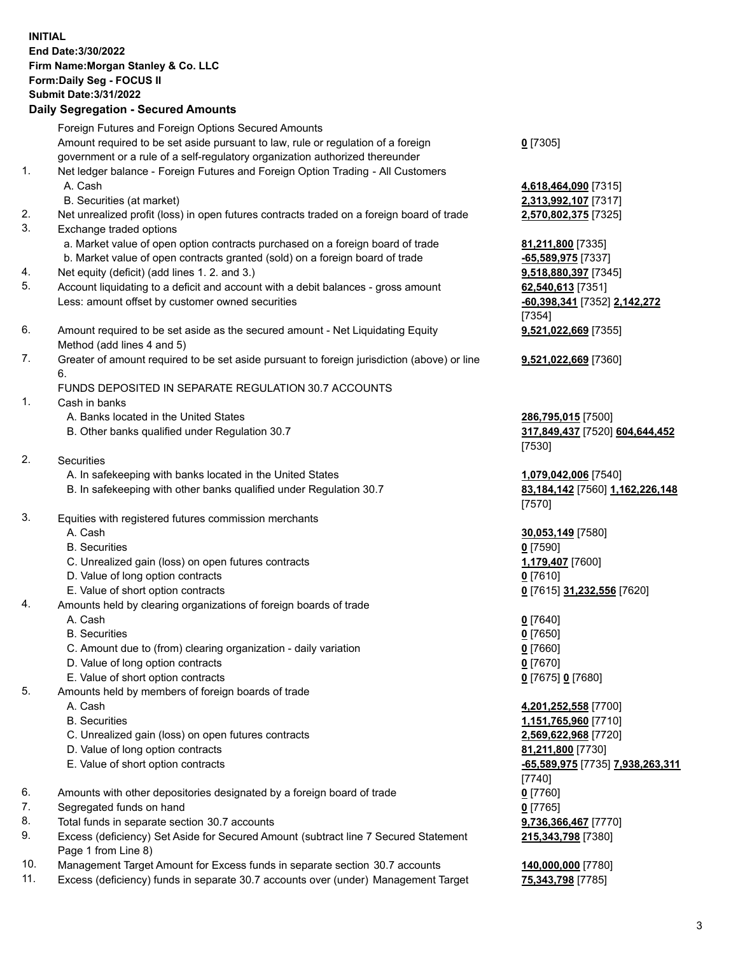## **INITIAL End Date:3/30/2022 Firm Name:Morgan Stanley & Co. LLC Form:Daily Seg - FOCUS II Submit Date:3/31/2022 Daily Segregation - Secured Amounts** Foreign Futures and Foreign Options Secured Amounts Amount required to be set aside pursuant to law, rule or regulation of a foreign government or a rule of a self-regulatory organization authorized thereunder **0** [7305] 1. Net ledger balance - Foreign Futures and Foreign Option Trading - All Customers A. Cash **4,618,464,090** [7315] B. Securities (at market) **2,313,992,107** [7317] 2. Net unrealized profit (loss) in open futures contracts traded on a foreign board of trade **2,570,802,375** [7325] 3. Exchange traded options a. Market value of open option contracts purchased on a foreign board of trade **81,211,800** [7335] b. Market value of open contracts granted (sold) on a foreign board of trade **-65,589,975** [7337] 4. Net equity (deficit) (add lines 1. 2. and 3.) **9,518,880,397** [7345] 5. Account liquidating to a deficit and account with a debit balances - gross amount **62,540,613** [7351] Less: amount offset by customer owned securities **-60,398,341** [7352] **2,142,272** [7354] 6. Amount required to be set aside as the secured amount - Net Liquidating Equity Method (add lines 4 and 5) **9,521,022,669** [7355] 7. Greater of amount required to be set aside pursuant to foreign jurisdiction (above) or line 6. **9,521,022,669** [7360] FUNDS DEPOSITED IN SEPARATE REGULATION 30.7 ACCOUNTS 1. Cash in banks A. Banks located in the United States **286,795,015** [7500] B. Other banks qualified under Regulation 30.7 **317,849,437** [7520] **604,644,452** [7530] 2. Securities A. In safekeeping with banks located in the United States **1,079,042,006** [7540] B. In safekeeping with other banks qualified under Regulation 30.7 **83,184,142** [7560] **1,162,226,148** [7570] 3. Equities with registered futures commission merchants A. Cash **30,053,149** [7580] B. Securities **0** [7590] C. Unrealized gain (loss) on open futures contracts **1,179,407** [7600] D. Value of long option contracts **0** [7610] E. Value of short option contracts **0** [7615] **31,232,556** [7620] 4. Amounts held by clearing organizations of foreign boards of trade A. Cash **0** [7640] B. Securities **0** [7650] C. Amount due to (from) clearing organization - daily variation **0** [7660] D. Value of long option contracts **0** [7670] E. Value of short option contracts **0** [7675] **0** [7680] 5. Amounts held by members of foreign boards of trade A. Cash **4,201,252,558** [7700] B. Securities **1,151,765,960** [7710] C. Unrealized gain (loss) on open futures contracts **2,569,622,968** [7720] D. Value of long option contracts **81,211,800** [7730] E. Value of short option contracts **-65,589,975** [7735] **7,938,263,311** [7740] 6. Amounts with other depositories designated by a foreign board of trade **0** [7760] 7. Segregated funds on hand **0** [7765]

- 8. Total funds in separate section 30.7 accounts **9,736,366,467** [7770]
- 9. Excess (deficiency) Set Aside for Secured Amount (subtract line 7 Secured Statement Page 1 from Line 8)
- 10. Management Target Amount for Excess funds in separate section 30.7 accounts **140,000,000** [7780]
- 11. Excess (deficiency) funds in separate 30.7 accounts over (under) Management Target **75,343,798** [7785]

**215,343,798** [7380]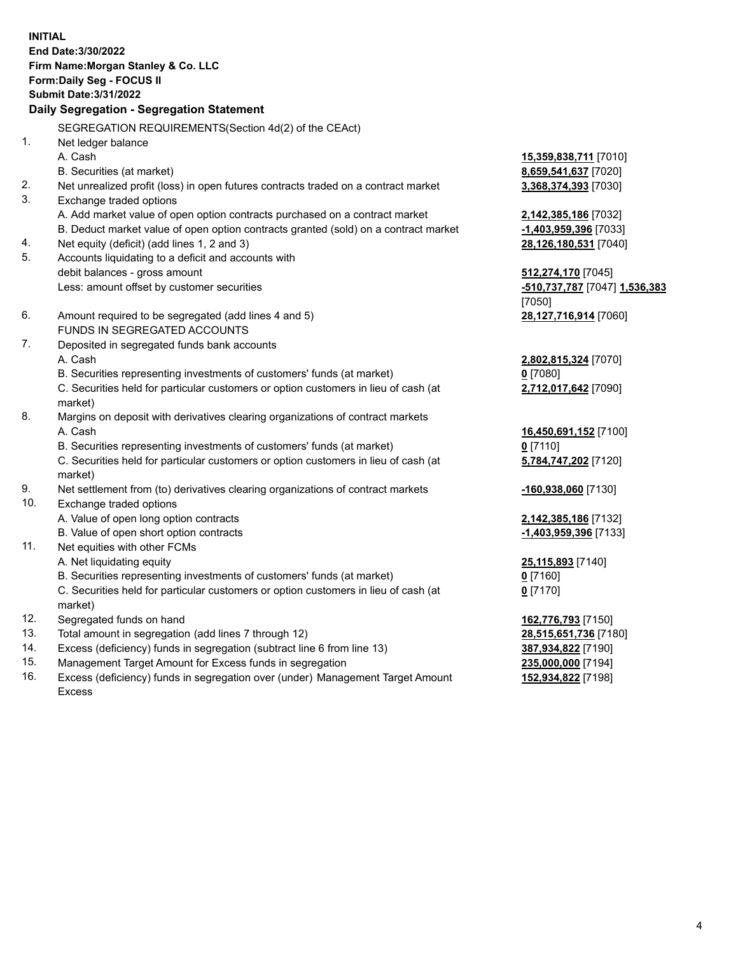**INITIAL End Date:3/30/2022 Firm Name:Morgan Stanley & Co. LLC Form:Daily Seg - FOCUS II Submit Date:3/31/2022 Daily Segregation - Segregation Statement** SEGREGATION REQUIREMENTS(Section 4d(2) of the CEAct) 1. Net ledger balance A. Cash **15,359,838,711** [7010] B. Securities (at market) **8,659,541,637** [7020] 2. Net unrealized profit (loss) in open futures contracts traded on a contract market **3,368,374,393** [7030] 3. Exchange traded options A. Add market value of open option contracts purchased on a contract market **2,142,385,186** [7032] B. Deduct market value of open option contracts granted (sold) on a contract market **-1,403,959,396** [7033] 4. Net equity (deficit) (add lines 1, 2 and 3) **28,126,180,531** [7040] 5. Accounts liquidating to a deficit and accounts with debit balances - gross amount **512,274,170** [7045] Less: amount offset by customer securities **-510,737,787** [7047] **1,536,383** [7050] 6. Amount required to be segregated (add lines 4 and 5) **28,127,716,914** [7060] FUNDS IN SEGREGATED ACCOUNTS 7. Deposited in segregated funds bank accounts A. Cash **2,802,815,324** [7070] B. Securities representing investments of customers' funds (at market) **0** [7080] C. Securities held for particular customers or option customers in lieu of cash (at market) **2,712,017,642** [7090] 8. Margins on deposit with derivatives clearing organizations of contract markets A. Cash **16,450,691,152** [7100] B. Securities representing investments of customers' funds (at market) **0** [7110] C. Securities held for particular customers or option customers in lieu of cash (at market) **5,784,747,202** [7120] 9. Net settlement from (to) derivatives clearing organizations of contract markets **-160,938,060** [7130] 10. Exchange traded options A. Value of open long option contracts **2,142,385,186** [7132] B. Value of open short option contracts **-1,403,959,396** [7133] 11. Net equities with other FCMs A. Net liquidating equity **25,115,893** [7140] B. Securities representing investments of customers' funds (at market) **0** [7160] C. Securities held for particular customers or option customers in lieu of cash (at market) **0** [7170] 12. Segregated funds on hand **162,776,793** [7150] 13. Total amount in segregation (add lines 7 through 12) **28,515,651,736** [7180] 14. Excess (deficiency) funds in segregation (subtract line 6 from line 13) **387,934,822** [7190] 15. Management Target Amount for Excess funds in segregation **235,000,000** [7194]

16. Excess (deficiency) funds in segregation over (under) Management Target Amount Excess

**152,934,822** [7198]